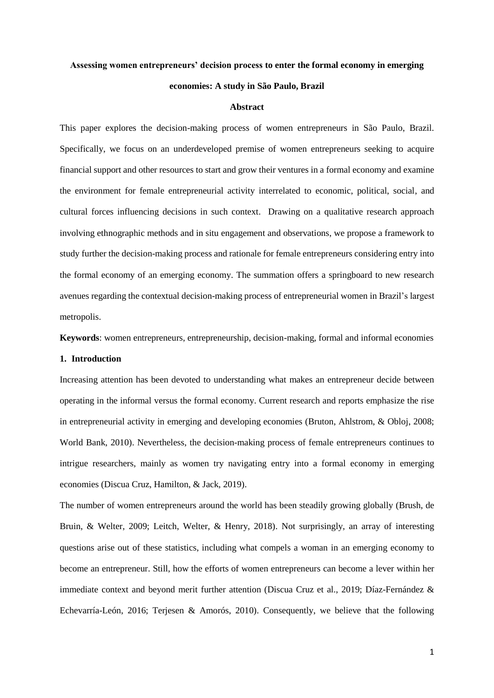### **Assessing women entrepreneurs' decision process to enter the formal economy in emerging**

## **economies: A study in São Paulo, Brazil**

#### **Abstract**

This paper explores the decision-making process of women entrepreneurs in São Paulo, Brazil. Specifically, we focus on an underdeveloped premise of women entrepreneurs seeking to acquire financial support and other resources to start and grow their ventures in a formal economy and examine the environment for female entrepreneurial activity interrelated to economic, political, social, and cultural forces influencing decisions in such context. Drawing on a qualitative research approach involving ethnographic methods and in situ engagement and observations, we propose a framework to study further the decision-making process and rationale for female entrepreneurs considering entry into the formal economy of an emerging economy. The summation offers a springboard to new research avenues regarding the contextual decision-making process of entrepreneurial women in Brazil's largest metropolis.

**Keywords**: women entrepreneurs, entrepreneurship, decision-making, formal and informal economies

## **1. Introduction**

Increasing attention has been devoted to understanding what makes an entrepreneur decide between operating in the informal versus the formal economy. Current research and reports emphasize the rise in entrepreneurial activity in emerging and developing economies (Bruton, Ahlstrom, & Obloj, 2008; World Bank, 2010). Nevertheless, the decision-making process of female entrepreneurs continues to intrigue researchers, mainly as women try navigating entry into a formal economy in emerging economies (Discua Cruz, Hamilton, & Jack, 2019).

The number of women entrepreneurs around the world has been steadily growing globally (Brush, de Bruin, & Welter, 2009; Leitch, Welter, & Henry, 2018). Not surprisingly, an array of interesting questions arise out of these statistics, including what compels a woman in an emerging economy to become an entrepreneur. Still, how the efforts of women entrepreneurs can become a lever within her immediate context and beyond merit further attention (Discua Cruz et al., 2019; Díaz-Fernández & Echevarría-León, 2016; Terjesen & Amorós, 2010). Consequently, we believe that the following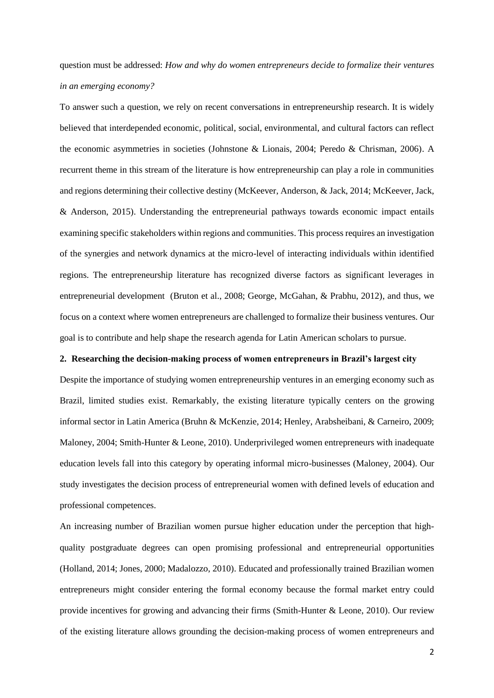question must be addressed: *How and why do women entrepreneurs decide to formalize their ventures in an emerging economy?*

To answer such a question, we rely on recent conversations in entrepreneurship research. It is widely believed that interdepended economic, political, social, environmental, and cultural factors can reflect the economic asymmetries in societies (Johnstone & Lionais, 2004; Peredo & Chrisman, 2006). A recurrent theme in this stream of the literature is how entrepreneurship can play a role in communities and regions determining their collective destiny (McKeever, Anderson, & Jack, 2014; McKeever, Jack, & Anderson, 2015). Understanding the entrepreneurial pathways towards economic impact entails examining specific stakeholders within regions and communities. This process requires an investigation of the synergies and network dynamics at the micro-level of interacting individuals within identified regions. The entrepreneurship literature has recognized diverse factors as significant leverages in entrepreneurial development (Bruton et al., 2008; George, McGahan, & Prabhu, 2012), and thus, we focus on a context where women entrepreneurs are challenged to formalize their business ventures. Our goal is to contribute and help shape the research agenda for Latin American scholars to pursue.

# **2. Researching the decision-making process of women entrepreneurs in Brazil's largest city**

Despite the importance of studying women entrepreneurship ventures in an emerging economy such as Brazil, limited studies exist. Remarkably, the existing literature typically centers on the growing informal sector in Latin America (Bruhn & McKenzie, 2014; Henley, Arabsheibani, & Carneiro, 2009; Maloney, 2004; Smith-Hunter & Leone, 2010). Underprivileged women entrepreneurs with inadequate education levels fall into this category by operating informal micro-businesses (Maloney, 2004). Our study investigates the decision process of entrepreneurial women with defined levels of education and professional competences.

An increasing number of Brazilian women pursue higher education under the perception that highquality postgraduate degrees can open promising professional and entrepreneurial opportunities (Holland, 2014; Jones, 2000; Madalozzo, 2010). Educated and professionally trained Brazilian women entrepreneurs might consider entering the formal economy because the formal market entry could provide incentives for growing and advancing their firms (Smith-Hunter & Leone, 2010). Our review of the existing literature allows grounding the decision-making process of women entrepreneurs and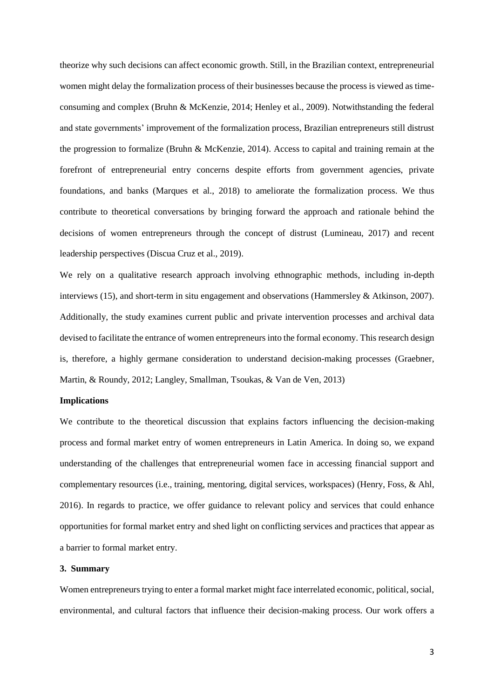theorize why such decisions can affect economic growth. Still, in the Brazilian context, entrepreneurial women might delay the formalization process of their businesses because the process is viewed as timeconsuming and complex (Bruhn & McKenzie, 2014; Henley et al., 2009). Notwithstanding the federal and state governments' improvement of the formalization process, Brazilian entrepreneurs still distrust the progression to formalize (Bruhn & McKenzie, 2014). Access to capital and training remain at the forefront of entrepreneurial entry concerns despite efforts from government agencies, private foundations, and banks (Marques et al., 2018) to ameliorate the formalization process. We thus contribute to theoretical conversations by bringing forward the approach and rationale behind the decisions of women entrepreneurs through the concept of distrust (Lumineau, 2017) and recent leadership perspectives (Discua Cruz et al., 2019).

We rely on a qualitative research approach involving ethnographic methods, including in-depth interviews (15), and short-term in situ engagement and observations (Hammersley & Atkinson, 2007). Additionally, the study examines current public and private intervention processes and archival data devised to facilitate the entrance of women entrepreneurs into the formal economy. This research design is, therefore, a highly germane consideration to understand decision-making processes (Graebner, Martin, & Roundy, 2012; Langley, Smallman, Tsoukas, & Van de Ven, 2013)

## **Implications**

We contribute to the theoretical discussion that explains factors influencing the decision-making process and formal market entry of women entrepreneurs in Latin America. In doing so, we expand understanding of the challenges that entrepreneurial women face in accessing financial support and complementary resources (i.e., training, mentoring, digital services, workspaces) (Henry, Foss, & Ahl, 2016). In regards to practice, we offer guidance to relevant policy and services that could enhance opportunities for formal market entry and shed light on conflicting services and practices that appear as a barrier to formal market entry.

# **3. Summary**

Women entrepreneurs trying to enter a formal market might face interrelated economic, political, social, environmental, and cultural factors that influence their decision-making process. Our work offers a